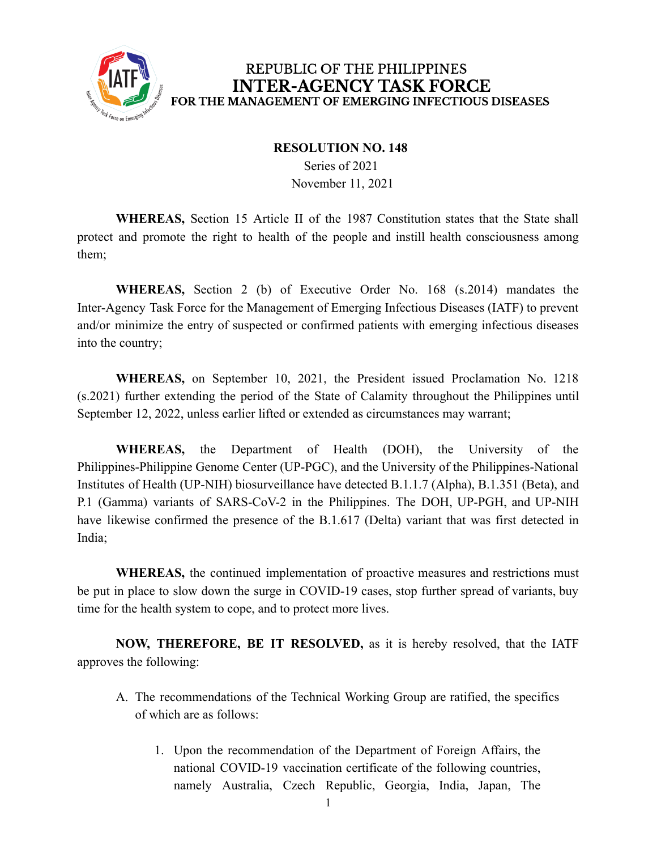

### REPUBLIC OF THE PHILIPPINES **INTER-AGENCY TASK FORCE** FOR THE MANAGEMENT OF EMERGING INFECTIOUS DISEASES

#### **RESOLUTION NO. 148**

Series of 2021 November 11, 2021

**WHEREAS,** Section 15 Article II of the 1987 Constitution states that the State shall protect and promote the right to health of the people and instill health consciousness among them;

**WHEREAS,** Section 2 (b) of Executive Order No. 168 (s.2014) mandates the Inter-Agency Task Force for the Management of Emerging Infectious Diseases (IATF) to prevent and/or minimize the entry of suspected or confirmed patients with emerging infectious diseases into the country;

**WHEREAS,** on September 10, 2021, the President issued Proclamation No. 1218 (s.2021) further extending the period of the State of Calamity throughout the Philippines until September 12, 2022, unless earlier lifted or extended as circumstances may warrant;

**WHEREAS,** the Department of Health (DOH), the University of the Philippines-Philippine Genome Center (UP-PGC), and the University of the Philippines-National Institutes of Health (UP-NIH) biosurveillance have detected B.1.1.7 (Alpha), B.1.351 (Beta), and P.1 (Gamma) variants of SARS-CoV-2 in the Philippines. The DOH, UP-PGH, and UP-NIH have likewise confirmed the presence of the B.1.617 (Delta) variant that was first detected in India;

**WHEREAS,** the continued implementation of proactive measures and restrictions must be put in place to slow down the surge in COVID-19 cases, stop further spread of variants, buy time for the health system to cope, and to protect more lives.

**NOW, THEREFORE, BE IT RESOLVED,** as it is hereby resolved, that the IATF approves the following:

- A. The recommendations of the Technical Working Group are ratified, the specifics of which are as follows:
	- 1. Upon the recommendation of the Department of Foreign Affairs, the national COVID-19 vaccination certificate of the following countries, namely Australia, Czech Republic, Georgia, India, Japan, The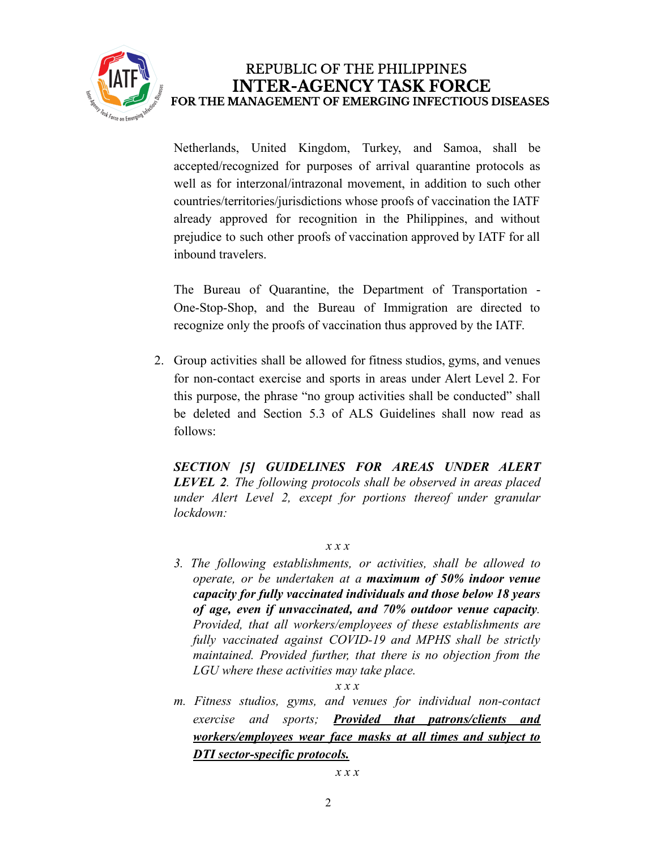

## REPUBLIC OF THE PHILIPPINES **INTER-AGENCY TASK FORCE** FOR THE MANAGEMENT OF EMERGING INFECTIOUS DISEASES

Netherlands, United Kingdom, Turkey, and Samoa, shall be accepted/recognized for purposes of arrival quarantine protocols as well as for interzonal/intrazonal movement, in addition to such other countries/territories/jurisdictions whose proofs of vaccination the IATF already approved for recognition in the Philippines, and without prejudice to such other proofs of vaccination approved by IATF for all inbound travelers.

The Bureau of Quarantine, the Department of Transportation - One-Stop-Shop, and the Bureau of Immigration are directed to recognize only the proofs of vaccination thus approved by the IATF.

2. Group activities shall be allowed for fitness studios, gyms, and venues for non-contact exercise and sports in areas under Alert Level 2. For this purpose, the phrase "no group activities shall be conducted" shall be deleted and Section 5.3 of ALS Guidelines shall now read as follows:

*SECTION [5] GUIDELINES FOR AREAS UNDER ALERT LEVEL 2. The following protocols shall be observed in areas placed under Alert Level 2, except for portions thereof under granular lockdown:*

#### *x x x*

*3. The following establishments, or activities, shall be allowed to operate, or be undertaken at a maximum of 50% indoor venue capacity for fully vaccinated individuals and those below 18 years of age, even if unvaccinated, and 70% outdoor venue capacity. Provided, that all workers/employees of these establishments are fully vaccinated against COVID-19 and MPHS shall be strictly maintained. Provided further, that there is no objection from the LGU where these activities may take place.*

*x x x*

*m. Fitness studios, gyms, and venues for individual non-contact exercise and sports; Provided that patrons/clients and workers/employees wear face masks at all times and subject to DTI sector-specific protocols.*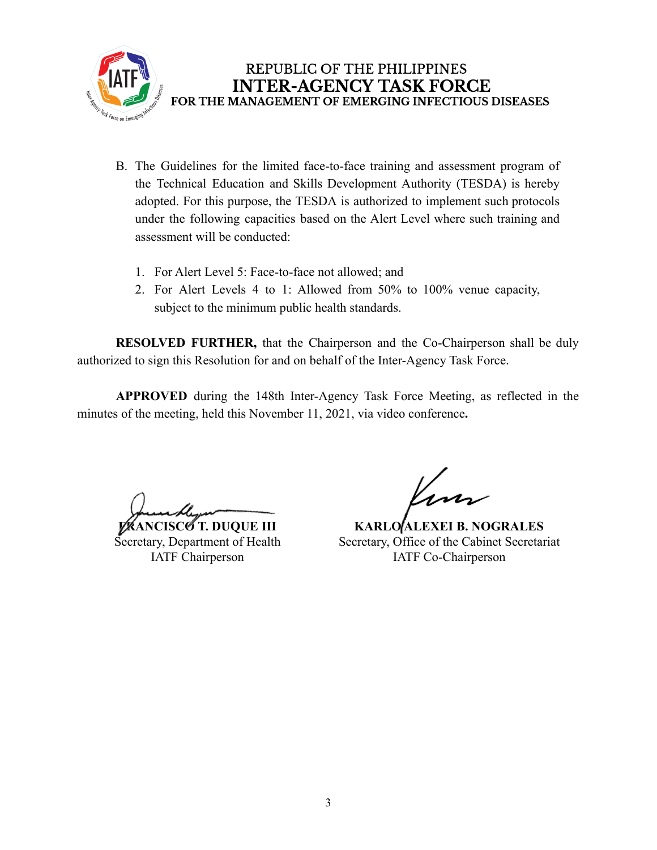

- B. The Guidelines for the limited face-to-face training and assessment program of the Technical Education and Skills Development Authority (TESDA) is hereby adopted. For this purpose, the TESDA is authorized to implement such protocols under the following capacities based on the Alert Level where such training and assessment will be conducted:
	- 1. For Alert Level 5: Face-to-face not allowed; and
	- 2. For Alert Levels 4 to 1: Allowed from 50% to 100% venue capacity, subject to the minimum public health standards.

**RESOLVED FURTHER,** that the Chairperson and the Co-Chairperson shall be duly authorized to sign this Resolution for and on behalf of the Inter-Agency Task Force.

**APPROVED** during the 148th Inter-Agency Task Force Meeting, as reflected in the minutes of the meeting, held this November 11, 2021, via video conference**.**

**FRANCISCO T. DUQUE III**

Secretary, Department of Health IATF Chairperson

**KARLO ALEXEI B. NOGRALES** Secretary, Office of the Cabinet Secretariat IATF Co-Chairperson